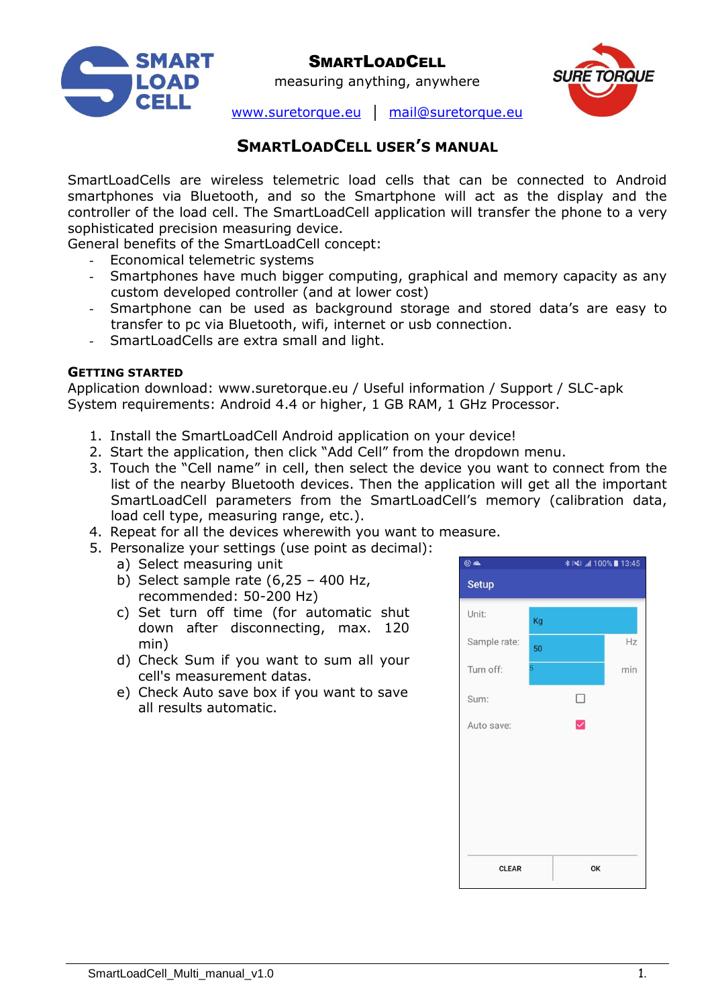

measuring anything, anywhere



[www.suretorque.eu](http://www.suretorque.eu/) │ [mail@suretorque.eu](mailto:mail@suretorque.eu)

# **SMARTLOADCELL USER'S MANUAL**

SmartLoadCells are wireless telemetric load cells that can be connected to Android smartphones via Bluetooth, and so the Smartphone will act as the display and the controller of the load cell. The SmartLoadCell application will transfer the phone to a very sophisticated precision measuring device.

General benefits of the SmartLoadCell concept:

- Economical telemetric systems
- Smartphones have much bigger computing, graphical and memory capacity as any custom developed controller (and at lower cost)
- Smartphone can be used as background storage and stored data's are easy to transfer to pc via Bluetooth, wifi, internet or usb connection.
- SmartLoadCells are extra small and light.

### **GETTING STARTED**

Application download: www.suretorque.eu / Useful information / Support / SLC-apk System requirements: Android 4.4 or higher, 1 GB RAM, 1 GHz Processor.

- 1. Install the SmartLoadCell Android application on your device!
- 2. Start the application, then click "Add Cell" from the dropdown menu.
- 3. Touch the "Cell name" in cell, then select the device you want to connect from the list of the nearby Bluetooth devices. Then the application will get all the important SmartLoadCell parameters from the SmartLoadCell's memory (calibration data, load cell type, measuring range, etc.).
- 4. Repeat for all the devices wherewith you want to measure.
- 5. Personalize your settings (use point as decimal):
	- a) Select measuring unit
	- b) Select sample rate  $(6.25 400$  Hz, recommended: 50-200 Hz)
	- c) Set turn off time (for automatic shut down after disconnecting, max. 120 min)
	- d) Check Sum if you want to sum all your cell's measurement datas.
	- e) Check Auto save box if you want to save all results automatic.

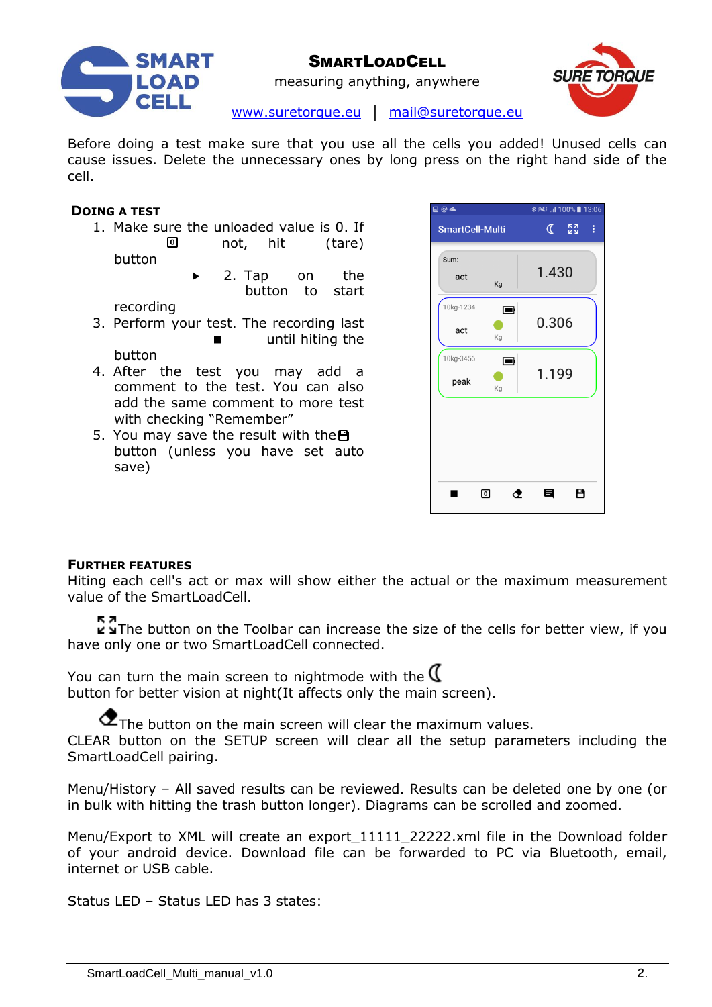



measuring anything, anywhere

[www.suretorque.eu](http://www.suretorque.eu/) │ [mail@suretorque.eu](mailto:mail@suretorque.eu)

Before doing a test make sure that you use all the cells you added! Unused cells can cause issues. Delete the unnecessary ones by long press on the right hand side of the cell.

#### **DOING A TEST**

- 1. Make sure the unloaded value is 0. If  $\overline{\mathbf{0}}$ not, hit (tare) button
	- 2. Tap on the button to start

recording

- 3. Perform your test. The recording last until hiting the button
- 4. After the test you may add a comment to the test. You can also add the same comment to more test with checking "Remember"
- 5. You may save the result with the  $\blacksquare$ button (unless you have set auto save)

| ⊟ ⓒ ▲             |                        |       | <b>* ≥ 41 100%</b> 13:06 |
|-------------------|------------------------|-------|--------------------------|
|                   | <b>SmartCell-Multi</b> |       | <b>KN</b><br>ŧ           |
| Sum:<br>act       | Kg                     | 1.430 |                          |
| 10kg-1234<br>act  | $\blacksquare$<br>Kg   | 0.306 |                          |
| 10kg-3456<br>peak | $\blacksquare$<br>Kg   | 1.199 |                          |
|                   |                        |       |                          |
|                   |                        |       |                          |
|                   | ⊡<br>ⅇ                 | E     | 8                        |

#### **FURTHER FEATURES**

Hiting each cell's act or max will show either the actual or the maximum measurement value of the SmartLoadCell.

 $\sum$  in The button on the Toolbar can increase the size of the cells for better view, if you have only one or two SmartLoadCell connected.

You can turn the main screen to nightmode with the  $\mathfrak C$ button for better vision at night(It affects only the main screen).

 $\sigma$ The button on the main screen will clear the maximum values.

CLEAR button on the SETUP screen will clear all the setup parameters including the SmartLoadCell pairing.

Menu/History – All saved results can be reviewed. Results can be deleted one by one (or in bulk with hitting the trash button longer). Diagrams can be scrolled and zoomed.

Menu/Export to XML will create an export\_11111\_22222.xml file in the Download folder of your android device. Download file can be forwarded to PC via Bluetooth, email, internet or USB cable.

Status LED – Status LED has 3 states: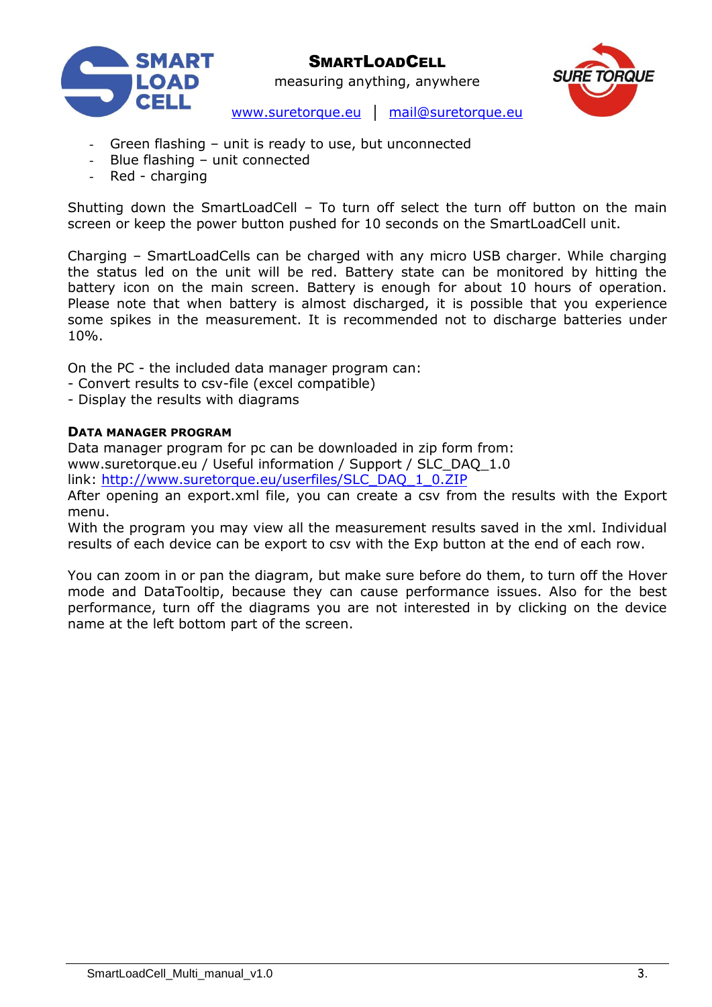

measuring anything, anywhere



[www.suretorque.eu](http://www.suretorque.eu/) │ [mail@suretorque.eu](mailto:mail@suretorque.eu)

- Green flashing unit is ready to use, but unconnected
- Blue flashing unit connected
- Red charging

Shutting down the SmartLoadCell – To turn off select the turn off button on the main screen or keep the power button pushed for 10 seconds on the SmartLoadCell unit.

Charging – SmartLoadCells can be charged with any micro USB charger. While charging the status led on the unit will be red. Battery state can be monitored by hitting the battery icon on the main screen. Battery is enough for about 10 hours of operation. Please note that when battery is almost discharged, it is possible that you experience some spikes in the measurement. It is recommended not to discharge batteries under 10%.

On the PC - the included data manager program can:

- Convert results to csv-file (excel compatible)
- Display the results with diagrams

### **DATA MANAGER PROGRAM**

Data manager program for pc can be downloaded in zip form from: www.suretorque.eu / Useful information / Support / SLC\_DAQ\_1.0

link: [http://www.suretorque.eu/userfiles/SLC\\_DAQ\\_1\\_0.ZIP](http://www.suretorque.eu/userfiles/SLC_DAQ_1_0.ZIP)

After opening an export.xml file, you can create a csv from the results with the Export menu.

With the program you may view all the measurement results saved in the xml. Individual results of each device can be export to csv with the Exp button at the end of each row.

You can zoom in or pan the diagram, but make sure before do them, to turn off the Hover mode and DataTooltip, because they can cause performance issues. Also for the best performance, turn off the diagrams you are not interested in by clicking on the device name at the left bottom part of the screen.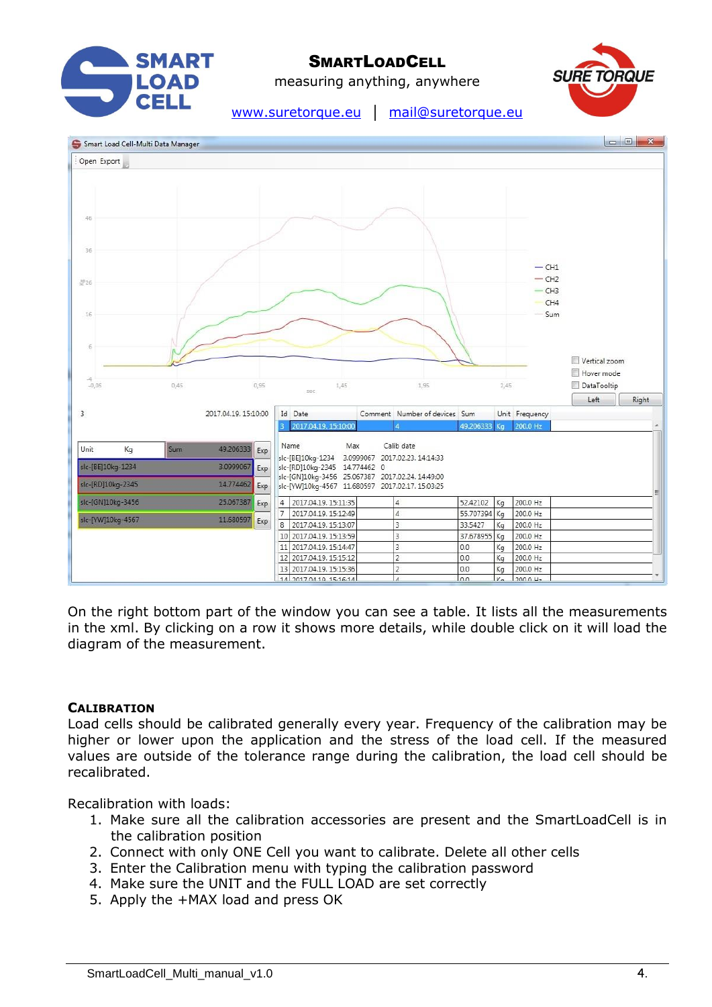

measuring anything, anywhere



[www.suretorque.eu](http://www.suretorque.eu/) │ [mail@suretorque.eu](mailto:mail@suretorque.eu)



On the right bottom part of the window you can see a table. It lists all the measurements in the xml. By clicking on a row it shows more details, while double click on it will load the diagram of the measurement.

### **CALIBRATION**

Load cells should be calibrated generally every year. Frequency of the calibration may be higher or lower upon the application and the stress of the load cell. If the measured values are outside of the tolerance range during the calibration, the load cell should be recalibrated.

Recalibration with loads:

- 1. Make sure all the calibration accessories are present and the SmartLoadCell is in the calibration position
- 2. Connect with only ONE Cell you want to calibrate. Delete all other cells
- 3. Enter the Calibration menu with typing the calibration password
- 4. Make sure the UNIT and the FULL LOAD are set correctly
- 5. Apply the +MAX load and press OK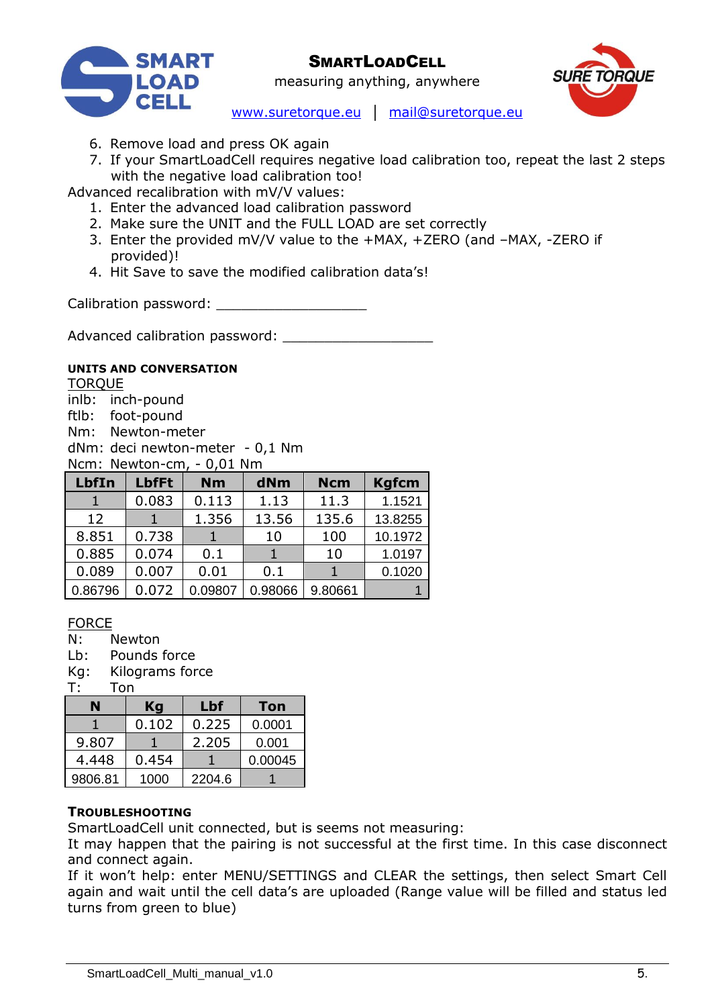



measuring anything, anywhere

- [www.suretorque.eu](http://www.suretorque.eu/) │ [mail@suretorque.eu](mailto:mail@suretorque.eu)
- 6. Remove load and press OK again
- 7. If your SmartLoadCell requires negative load calibration too, repeat the last 2 steps with the negative load calibration too!

Advanced recalibration with mV/V values:

- 1. Enter the advanced load calibration password
- 2. Make sure the UNIT and the FULL LOAD are set correctly
- 3. Enter the provided mV/V value to the +MAX, +ZERO (and –MAX, -ZERO if provided)!
- 4. Hit Save to save the modified calibration data's!

Calibration password: \_\_\_\_\_\_\_\_\_\_\_\_\_\_\_\_\_\_

Advanced calibration password:

### **UNITS AND CONVERSATION**

**TOROUE** inlb: inch-pound ftlb: foot-pound Nm: Newton-meter dNm: deci newton-meter - 0,1 Nm Ncm: Newton-cm, - 0,01 Nm

| <b>LbfIn</b> | <b>LbfFt</b> | <b>Nm</b> | dNm     | <b>Ncm</b> | <b>Kgfcm</b> |
|--------------|--------------|-----------|---------|------------|--------------|
|              | 0.083        | 0.113     | 1.13    | 11.3       | 1.1521       |
| 12           |              | 1.356     | 13.56   | 135.6      | 13.8255      |
| 8.851        | 0.738        |           | 10      | 100        | 10.1972      |
| 0.885        | 0.074        | 0.1       |         | 10         | 1.0197       |
| 0.089        | 0.007        | 0.01      | 0.1     |            | 0.1020       |
| 0.86796      | 0.072        | 0.09807   | 0.98066 | 9.80661    |              |

### FORCE

N: Newton

Lb: Pounds force

Kg: Kilograms force

T: Ton

|         | Kg    | Lbf    | <b>Ton</b> |
|---------|-------|--------|------------|
|         | 0.102 | 0.225  | 0.0001     |
| 9.807   |       | 2.205  | 0.001      |
| 4.448   | 0.454 |        | 0.00045    |
| 9806.81 | 1000  | 2204.6 |            |

### **TROUBLESHOOTING**

SmartLoadCell unit connected, but is seems not measuring:

It may happen that the pairing is not successful at the first time. In this case disconnect and connect again.

If it won't help: enter MENU/SETTINGS and CLEAR the settings, then select Smart Cell again and wait until the cell data's are uploaded (Range value will be filled and status led turns from green to blue)